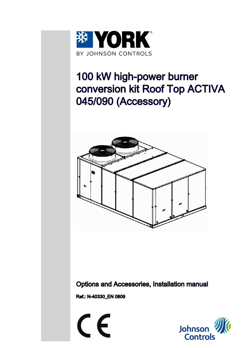

# 100 kW high-power burner conversion kit Roof Top ACTIVA 045/090 (Accessory)



Options and Accessories, Installation manual

Ref.: N-40330\_EN 0809



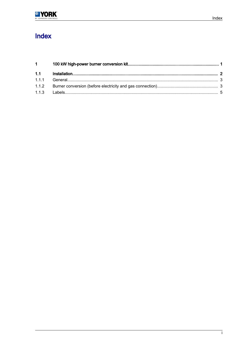# Index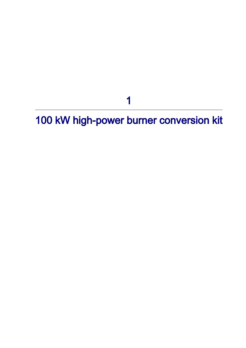1

<span id="page-2-0"></span>100 kW high-power burner conversion kit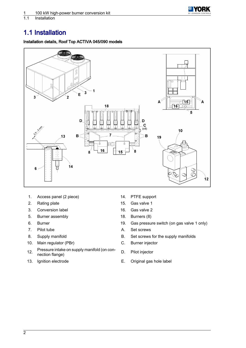

<span id="page-3-0"></span>**Installation** 

## 1.1 Installation

### Installation details, Roof Top ACTIVA 045/090 models



- 1. Access panel (2 piece) 14. PTFE support
- 2. Rating plate 15. Gas valve 1
- 3. Conversion label 16. Gas valve 2
- 5. Burner assembly 18. Burners (8)
- 
- 
- 
- 10. Main regulator (PBr) C. Burner injector
- 12. Pressure intake on supply manifold (on con-<br>nection flange)
- 
- 
- 
- 
- 
- 6. Burner 19. Gas pressure switch (on gas valve 1 only)
- 7. Pilot tube **A.** Set screws
- 8. Supply manifold **B.** Set screws for the supply manifolds
	-
	-
- 13. Ignition electrode E. Original gas hole label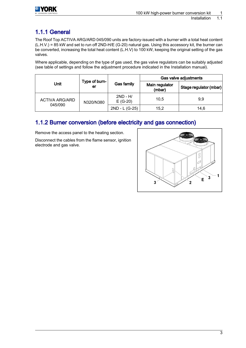<span id="page-4-0"></span>

### 1.1.1 General

The Roof Top ACTIVA ARG/ARD 045/090 units are factory-issued with a burner with a total heat content (L.H.V.) = 85 kW and set to run off 2ND-H/E (G-20) natural gas. Using this accessory kit, the burner can be converted, increasing the total heat content (L.H.V) to 100 kW, keeping the original setting of the gas valves.

Where applicable, depending on the type of gas used, the gas valve regulators can be suitably adjusted (see table of settings and follow the adjustment procedure indicated in the Installation manual).

|                       | Type of burn-<br>er | <b>Gas family</b>       | Gas valve adjustments    |                        |  |
|-----------------------|---------------------|-------------------------|--------------------------|------------------------|--|
| Unit                  |                     |                         | Main regulator<br>(mbar) | Stage regulator (mbar) |  |
| <b>ACTIVA ARG/ARD</b> | N320/N380           | $2ND - H/$<br>$E(G-20)$ | 10.5                     | 9.9                    |  |
| 045/090               |                     | 2ND - L (G-25)          | 15,2                     | 14.6                   |  |

## 1.1.2 Burner conversion (before electricity and gas connection)

Remove the access panel to the heating section.

Disconnect the cables from the flame sensor, ignition electrode and gas valve.

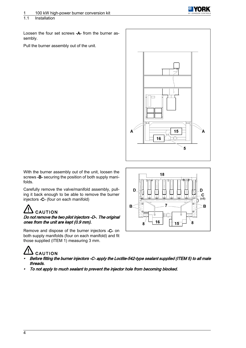



Loosen the four set screws -A- from the burner assembly.

Pull the burner assembly out of the unit.



With the burner assembly out of the unit, loosen the screws -B- securing the position of both supply manifolds.

Carefully remove the valve/manifold assembly, pull‐ ing it back enough to be able to remove the burner injectors -C- (four on each manifold)

# **CAUTION**

#### Do not remove the two pilot injectors -D-. The original ones from the unit are kept (0.9 mm).

Remove and dispose of the burner injectors -C- on both supply manifolds (four on each manifold) and fit those supplied (ITEM 1) measuring 3 mm.

# **CAUTION**

- • Before fitting the burner injectors -C- apply the Loctite-542-type sealant supplied (ITEM 5) to all male threads.
- •To not apply to much sealant to prevent the injector hole from becoming blocked.